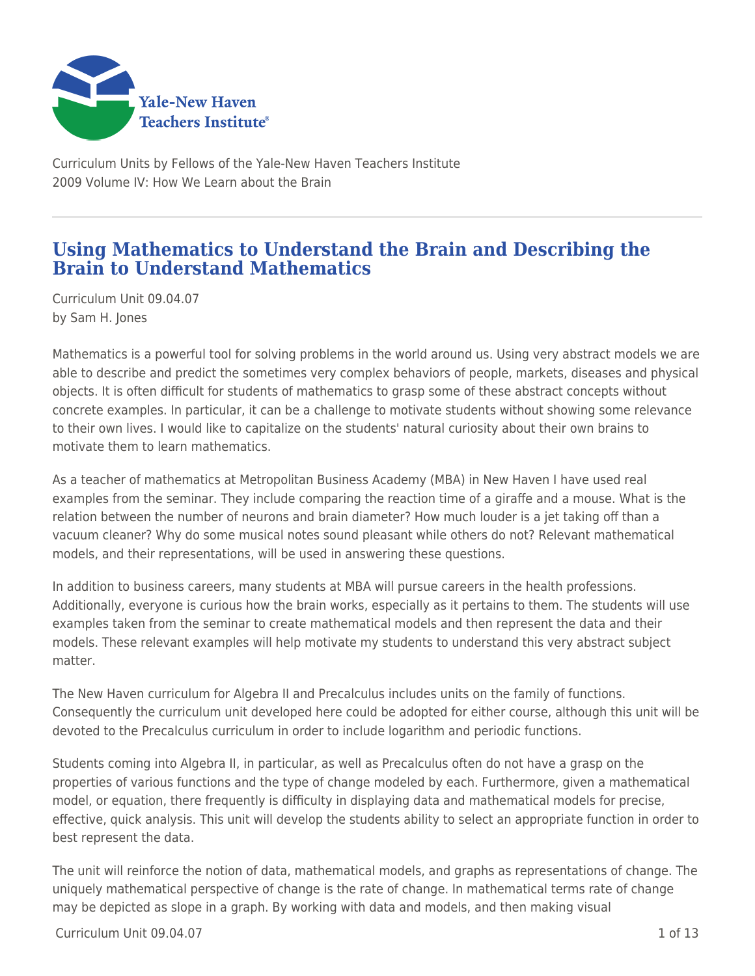

Curriculum Units by Fellows of the Yale-New Haven Teachers Institute 2009 Volume IV: How We Learn about the Brain

## **Using Mathematics to Understand the Brain and Describing the Brain to Understand Mathematics**

Curriculum Unit 09.04.07 by Sam H. Jones

Mathematics is a powerful tool for solving problems in the world around us. Using very abstract models we are able to describe and predict the sometimes very complex behaviors of people, markets, diseases and physical objects. It is often difficult for students of mathematics to grasp some of these abstract concepts without concrete examples. In particular, it can be a challenge to motivate students without showing some relevance to their own lives. I would like to capitalize on the students' natural curiosity about their own brains to motivate them to learn mathematics.

As a teacher of mathematics at Metropolitan Business Academy (MBA) in New Haven I have used real examples from the seminar. They include comparing the reaction time of a giraffe and a mouse. What is the relation between the number of neurons and brain diameter? How much louder is a jet taking off than a vacuum cleaner? Why do some musical notes sound pleasant while others do not? Relevant mathematical models, and their representations, will be used in answering these questions.

In addition to business careers, many students at MBA will pursue careers in the health professions. Additionally, everyone is curious how the brain works, especially as it pertains to them. The students will use examples taken from the seminar to create mathematical models and then represent the data and their models. These relevant examples will help motivate my students to understand this very abstract subject matter.

The New Haven curriculum for Algebra II and Precalculus includes units on the family of functions. Consequently the curriculum unit developed here could be adopted for either course, although this unit will be devoted to the Precalculus curriculum in order to include logarithm and periodic functions.

Students coming into Algebra II, in particular, as well as Precalculus often do not have a grasp on the properties of various functions and the type of change modeled by each. Furthermore, given a mathematical model, or equation, there frequently is difficulty in displaying data and mathematical models for precise, effective, quick analysis. This unit will develop the students ability to select an appropriate function in order to best represent the data.

The unit will reinforce the notion of data, mathematical models, and graphs as representations of change. The uniquely mathematical perspective of change is the rate of change. In mathematical terms rate of change may be depicted as slope in a graph. By working with data and models, and then making visual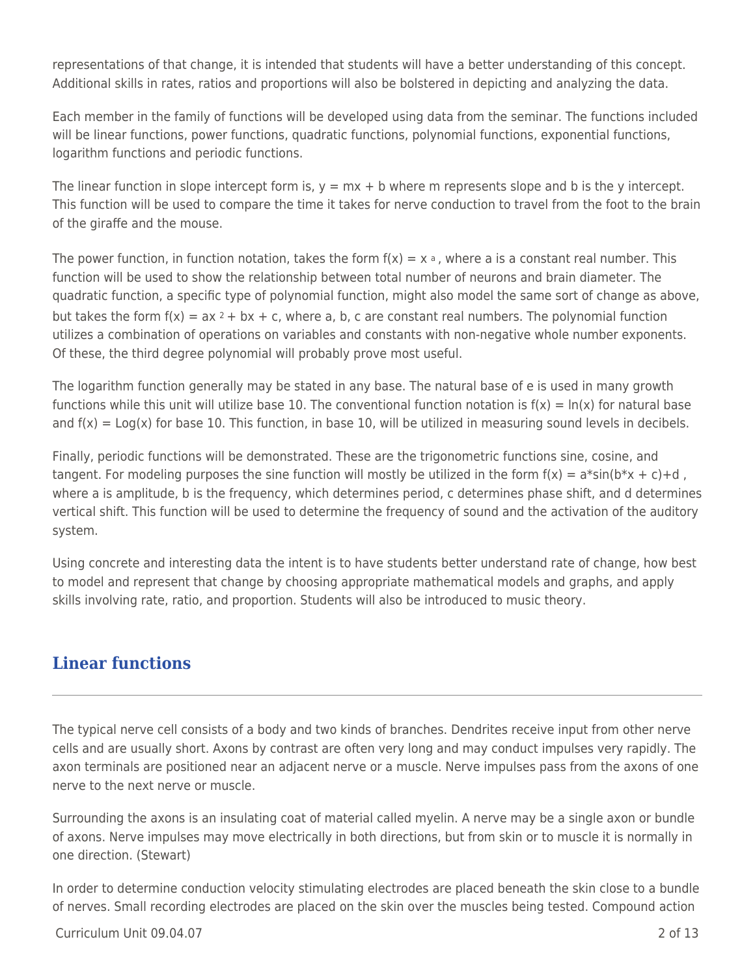representations of that change, it is intended that students will have a better understanding of this concept. Additional skills in rates, ratios and proportions will also be bolstered in depicting and analyzing the data.

Each member in the family of functions will be developed using data from the seminar. The functions included will be linear functions, power functions, quadratic functions, polynomial functions, exponential functions, logarithm functions and periodic functions.

The linear function in slope intercept form is,  $y = mx + b$  where m represents slope and b is the y intercept. This function will be used to compare the time it takes for nerve conduction to travel from the foot to the brain of the giraffe and the mouse.

The power function, in function notation, takes the form  $f(x) = x \cdot a$ , where a is a constant real number. This function will be used to show the relationship between total number of neurons and brain diameter. The quadratic function, a specific type of polynomial function, might also model the same sort of change as above, but takes the form  $f(x) = ax^2 + bx + c$ , where a, b, c are constant real numbers. The polynomial function utilizes a combination of operations on variables and constants with non-negative whole number exponents. Of these, the third degree polynomial will probably prove most useful.

The logarithm function generally may be stated in any base. The natural base of e is used in many growth functions while this unit will utilize base 10. The conventional function notation is  $f(x) = \ln(x)$  for natural base and  $f(x) = \text{Log}(x)$  for base 10. This function, in base 10, will be utilized in measuring sound levels in decibels.

Finally, periodic functions will be demonstrated. These are the trigonometric functions sine, cosine, and tangent. For modeling purposes the sine function will mostly be utilized in the form  $f(x) = a^*sin(b^*x + c) + d$ , where a is amplitude, b is the frequency, which determines period, c determines phase shift, and d determines vertical shift. This function will be used to determine the frequency of sound and the activation of the auditory system.

Using concrete and interesting data the intent is to have students better understand rate of change, how best to model and represent that change by choosing appropriate mathematical models and graphs, and apply skills involving rate, ratio, and proportion. Students will also be introduced to music theory.

## **Linear functions**

The typical nerve cell consists of a body and two kinds of branches. Dendrites receive input from other nerve cells and are usually short. Axons by contrast are often very long and may conduct impulses very rapidly. The axon terminals are positioned near an adjacent nerve or a muscle. Nerve impulses pass from the axons of one nerve to the next nerve or muscle.

Surrounding the axons is an insulating coat of material called myelin. A nerve may be a single axon or bundle of axons. Nerve impulses may move electrically in both directions, but from skin or to muscle it is normally in one direction. (Stewart)

In order to determine conduction velocity stimulating electrodes are placed beneath the skin close to a bundle of nerves. Small recording electrodes are placed on the skin over the muscles being tested. Compound action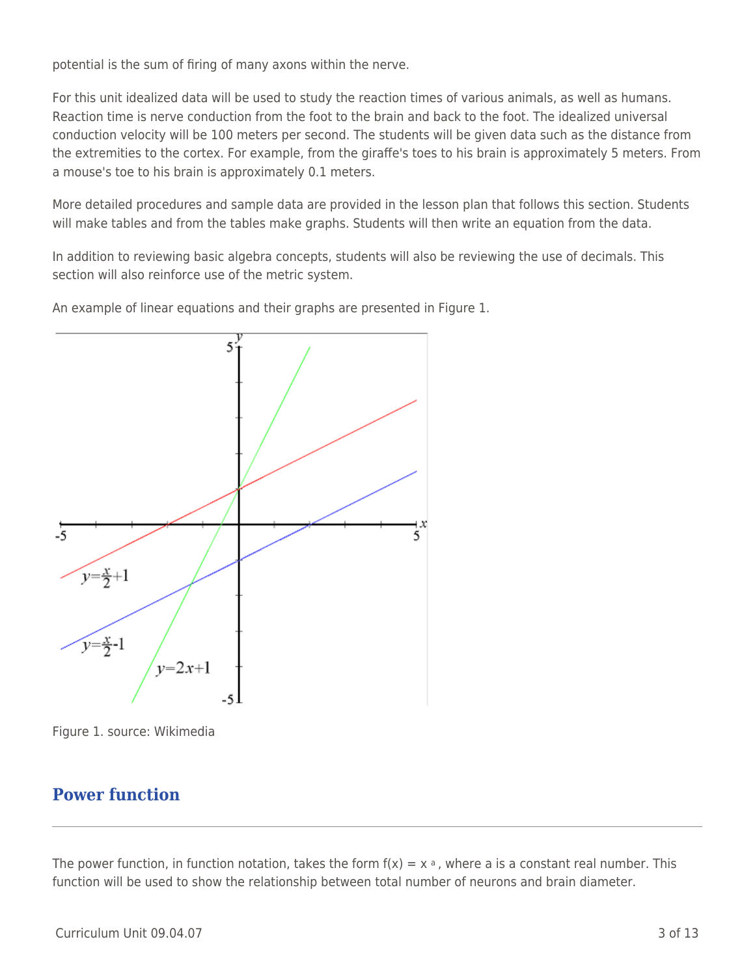potential is the sum of firing of many axons within the nerve.

For this unit idealized data will be used to study the reaction times of various animals, as well as humans. Reaction time is nerve conduction from the foot to the brain and back to the foot. The idealized universal conduction velocity will be 100 meters per second. The students will be given data such as the distance from the extremities to the cortex. For example, from the giraffe's toes to his brain is approximately 5 meters. From a mouse's toe to his brain is approximately 0.1 meters.

More detailed procedures and sample data are provided in the lesson plan that follows this section. Students will make tables and from the tables make graphs. Students will then write an equation from the data.

In addition to reviewing basic algebra concepts, students will also be reviewing the use of decimals. This section will also reinforce use of the metric system.

An example of linear equations and their graphs are presented in Figure 1.



Figure 1. source: Wikimedia

## **Power function**

The power function, in function notation, takes the form  $f(x) = x \cdot a$ , where a is a constant real number. This function will be used to show the relationship between total number of neurons and brain diameter.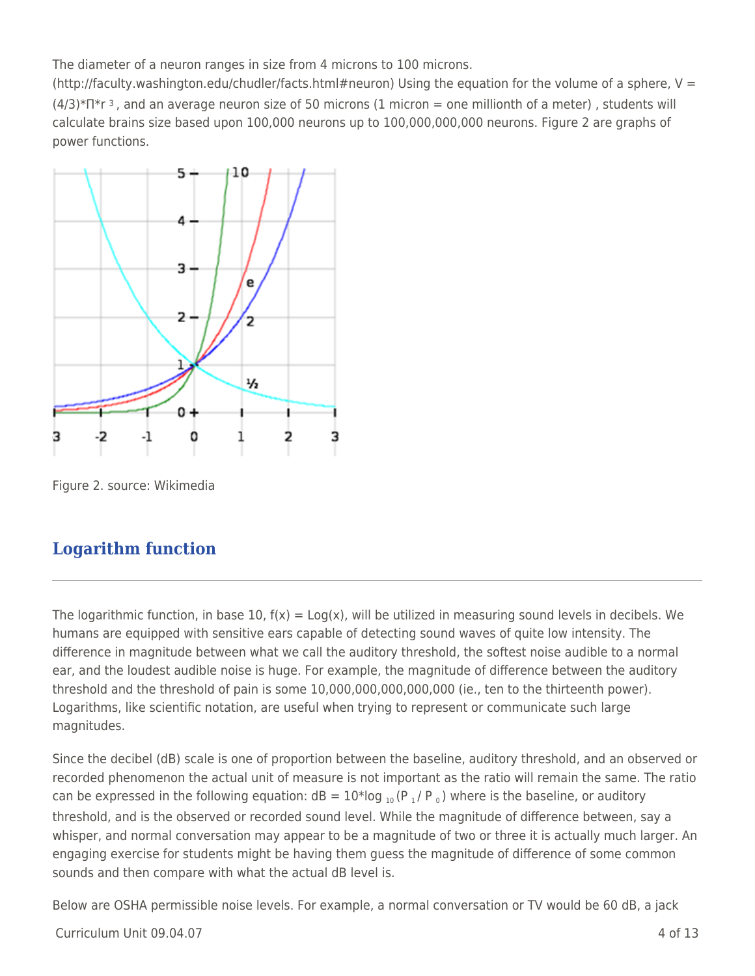The diameter of a neuron ranges in size from 4 microns to 100 microns.

(http://faculty.washington.edu/chudler/facts.html#neuron) Using the equation for the volume of a sphere,  $V =$  $(4/3)*\Pi*r$  3, and an average neuron size of 50 microns (1 micron = one millionth of a meter), students will calculate brains size based upon 100,000 neurons up to 100,000,000,000 neurons. Figure 2 are graphs of power functions.



Figure 2. source: Wikimedia

# **Logarithm function**

The logarithmic function, in base 10,  $f(x) = Log(x)$ , will be utilized in measuring sound levels in decibels. We humans are equipped with sensitive ears capable of detecting sound waves of quite low intensity. The difference in magnitude between what we call the auditory threshold, the softest noise audible to a normal ear, and the loudest audible noise is huge. For example, the magnitude of difference between the auditory threshold and the threshold of pain is some 10,000,000,000,000,000 (ie., ten to the thirteenth power). Logarithms, like scientific notation, are useful when trying to represent or communicate such large magnitudes.

Since the decibel (dB) scale is one of proportion between the baseline, auditory threshold, and an observed or recorded phenomenon the actual unit of measure is not important as the ratio will remain the same. The ratio can be expressed in the following equation:  $dB = 10*log_{10}(P_1/P_0)$  where is the baseline, or auditory threshold, and is the observed or recorded sound level. While the magnitude of difference between, say a whisper, and normal conversation may appear to be a magnitude of two or three it is actually much larger. An engaging exercise for students might be having them guess the magnitude of difference of some common sounds and then compare with what the actual dB level is.

Below are OSHA permissible noise levels. For example, a normal conversation or TV would be 60 dB, a jack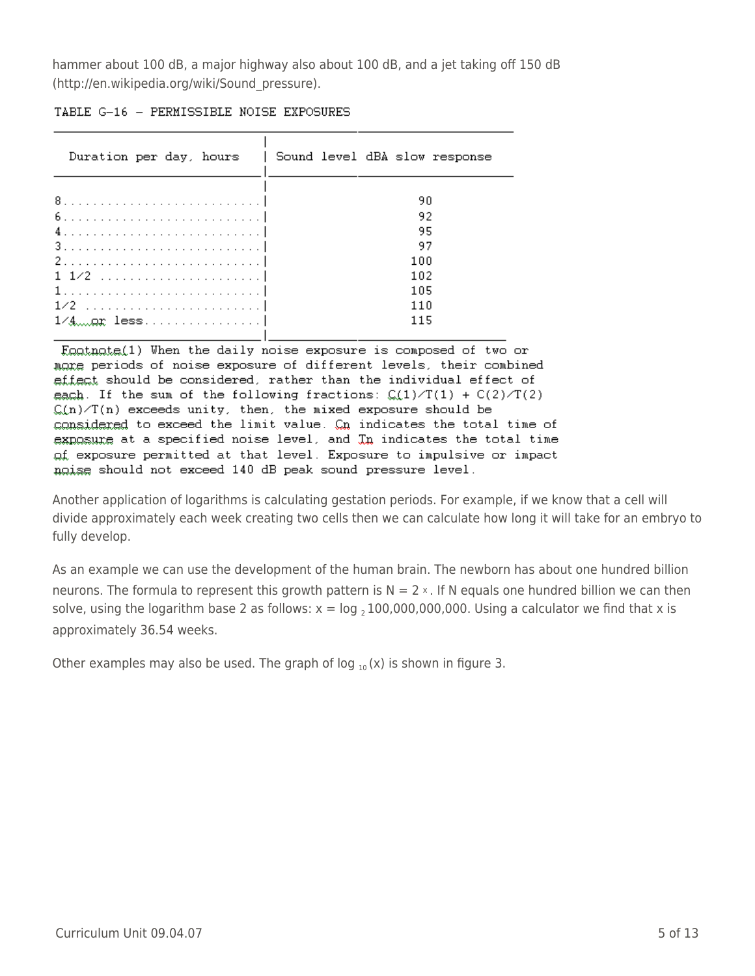hammer about 100 dB, a major highway also about 100 dB, and a jet taking off 150 dB (http://en.wikipedia.org/wiki/Sound\_pressure).

| TABLE G-16 - PERMISSIBLE NOISE EXPOSURES |
|------------------------------------------|
|                                          |

|                   | Duration per day, hours   Sound level dBA slow response |
|-------------------|---------------------------------------------------------|
|                   |                                                         |
|                   | 90                                                      |
|                   | 92                                                      |
|                   | 95                                                      |
|                   | 97                                                      |
|                   | 100                                                     |
|                   | 102                                                     |
|                   | 105                                                     |
|                   | 11 N                                                    |
| <u>1/4or less</u> | 115                                                     |
|                   |                                                         |

Enatmate(1) When the daily noise exposure is composed of two or mare periods of noise exposure of different levels, their combined effect should be considered, rather than the individual effect of each. If the sum of the following fractions:  $C(1)/T(1) + C(2)/T(2)$  $\mathcal{C}(n)/T(n)$  exceeds unity, then, the mixed exposure should be considered to exceed the limit value. On indicates the total time of exposure at a specified noise level, and In indicates the total time of exposure permitted at that level. Exposure to impulsive or impact ngise should not exceed 140 dB peak sound pressure level.

Another application of logarithms is calculating gestation periods. For example, if we know that a cell will divide approximately each week creating two cells then we can calculate how long it will take for an embryo to fully develop.

As an example we can use the development of the human brain. The newborn has about one hundred billion neurons. The formula to represent this growth pattern is  $N = 2 \times$ . If N equals one hundred billion we can then solve, using the logarithm base 2 as follows:  $x = log_2 100,000,000,000$ . Using a calculator we find that x is approximately 36.54 weeks.

Other examples may also be used. The graph of log  $_{10}$  (x) is shown in figure 3.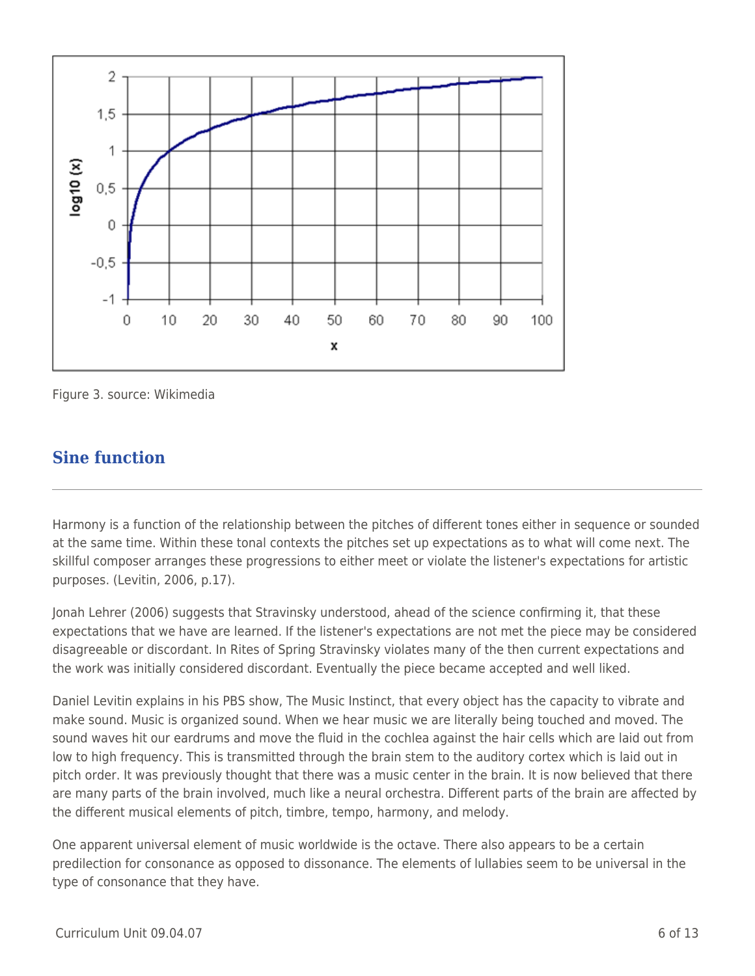

Figure 3. source: Wikimedia

### **Sine function**

Harmony is a function of the relationship between the pitches of different tones either in sequence or sounded at the same time. Within these tonal contexts the pitches set up expectations as to what will come next. The skillful composer arranges these progressions to either meet or violate the listener's expectations for artistic purposes. (Levitin, 2006, p.17).

Jonah Lehrer (2006) suggests that Stravinsky understood, ahead of the science confirming it, that these expectations that we have are learned. If the listener's expectations are not met the piece may be considered disagreeable or discordant. In Rites of Spring Stravinsky violates many of the then current expectations and the work was initially considered discordant. Eventually the piece became accepted and well liked.

Daniel Levitin explains in his PBS show, The Music Instinct, that every object has the capacity to vibrate and make sound. Music is organized sound. When we hear music we are literally being touched and moved. The sound waves hit our eardrums and move the fluid in the cochlea against the hair cells which are laid out from low to high frequency. This is transmitted through the brain stem to the auditory cortex which is laid out in pitch order. It was previously thought that there was a music center in the brain. It is now believed that there are many parts of the brain involved, much like a neural orchestra. Different parts of the brain are affected by the different musical elements of pitch, timbre, tempo, harmony, and melody.

One apparent universal element of music worldwide is the octave. There also appears to be a certain predilection for consonance as opposed to dissonance. The elements of lullabies seem to be universal in the type of consonance that they have.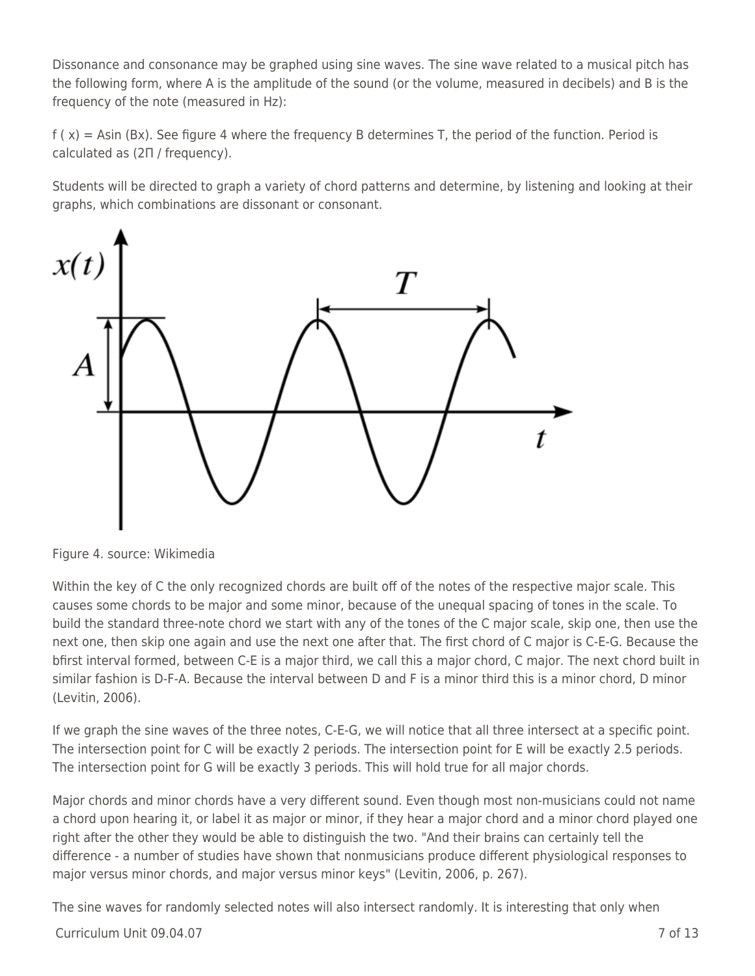Dissonance and consonance may be graphed using sine waves. The sine wave related to a musical pitch has the following form, where A is the amplitude of the sound (or the volume, measured in decibels) and B is the frequency of the note (measured in Hz):

 $f(x) = Asin(Bx)$ . See figure 4 where the frequency B determines T, the period of the function. Period is calculated as (2Π / frequency).

Students will be directed to graph a variety of chord patterns and determine, by listening and looking at their graphs, which combinations are dissonant or consonant.



Figure 4. source: Wikimedia

Within the key of C the only recognized chords are built off of the notes of the respective major scale. This causes some chords to be major and some minor, because of the unequal spacing of tones in the scale. To build the standard three-note chord we start with any of the tones of the C major scale, skip one, then use the next one, then skip one again and use the next one after that. The first chord of C major is C-E-G. Because the bfirst interval formed, between C-E is a major third, we call this a major chord, C major. The next chord built in similar fashion is D-F-A. Because the interval between D and F is a minor third this is a minor chord, D minor (Levitin, 2006).

If we graph the sine waves of the three notes, C-E-G, we will notice that all three intersect at a specific point. The intersection point for C will be exactly 2 periods. The intersection point for E will be exactly 2.5 periods. The intersection point for G will be exactly 3 periods. This will hold true for all major chords.

Major chords and minor chords have a very different sound. Even though most non-musicians could not name a chord upon hearing it, or label it as major or minor, if they hear a major chord and a minor chord played one right after the other they would be able to distinguish the two. "And their brains can certainly tell the difference - a number of studies have shown that nonmusicians produce different physiological responses to major versus minor chords, and major versus minor keys" (Levitin, 2006, p. 267).

The sine waves for randomly selected notes will also intersect randomly. It is interesting that only when

 $C$ urriculum Unit 09.04.07  $\qquad \qquad$  7 of 13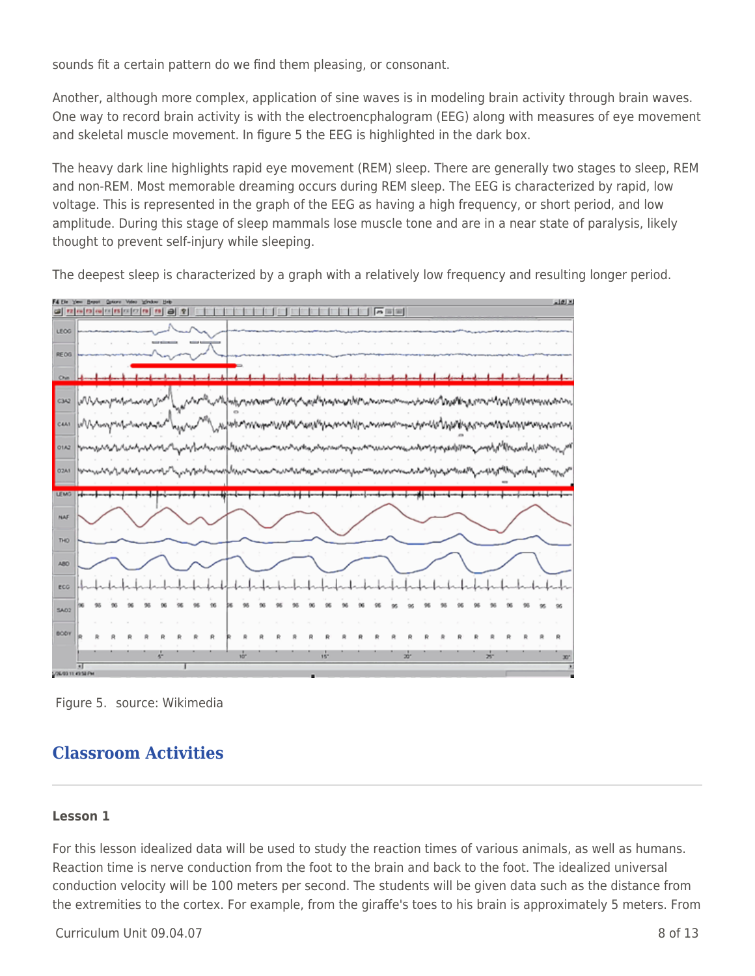sounds fit a certain pattern do we find them pleasing, or consonant.

Another, although more complex, application of sine waves is in modeling brain activity through brain waves. One way to record brain activity is with the electroencphalogram (EEG) along with measures of eye movement and skeletal muscle movement. In figure 5 the EEG is highlighted in the dark box.

The heavy dark line highlights rapid eye movement (REM) sleep. There are generally two stages to sleep, REM and non-REM. Most memorable dreaming occurs during REM sleep. The EEG is characterized by rapid, low voltage. This is represented in the graph of the EEG as having a high frequency, or short period, and low amplitude. During this stage of sleep mammals lose muscle tone and are in a near state of paralysis, likely thought to prevent self-injury while sleeping.

**1999 - 1999 - 1999 - 1999 - 1999 - 1999** 3 학교이어~ 학생이어어 한 장 **LEOS REOC C3A2** CAAL 01A2 O<sub>2A</sub> **LEM NAI** nю ABO eco 5802 600 la<br>Santasan

The deepest sleep is characterized by a graph with a relatively low frequency and resulting longer period.

Figure 5. source: Wikimedia

# **Classroom Activities**

#### **Lesson 1**

For this lesson idealized data will be used to study the reaction times of various animals, as well as humans. Reaction time is nerve conduction from the foot to the brain and back to the foot. The idealized universal conduction velocity will be 100 meters per second. The students will be given data such as the distance from the extremities to the cortex. For example, from the giraffe's toes to his brain is approximately 5 meters. From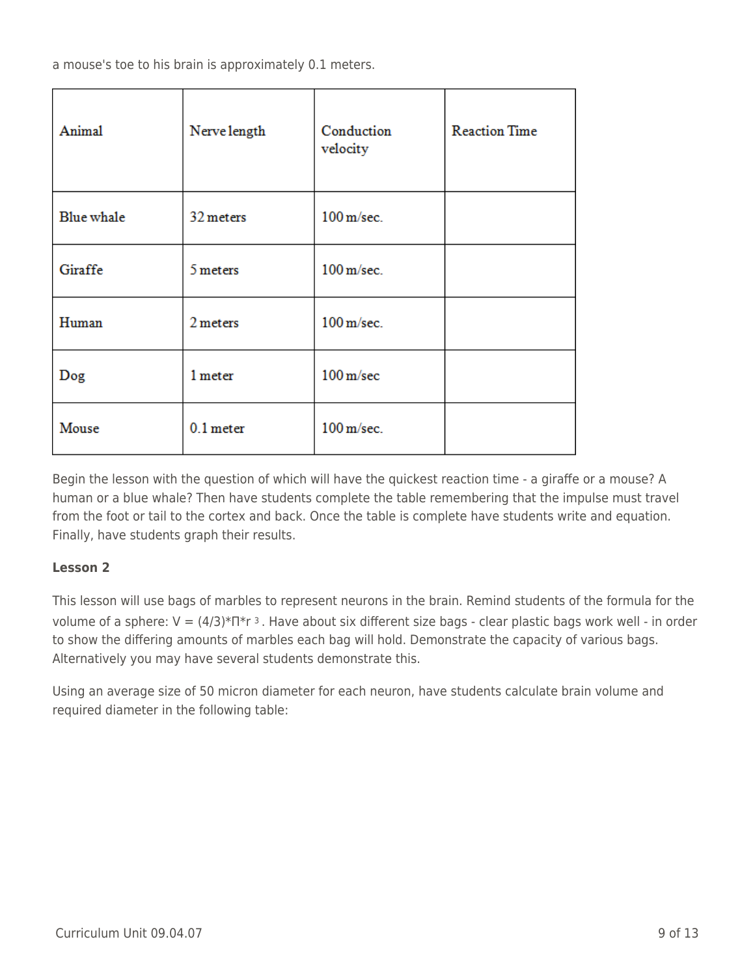a mouse's toe to his brain is approximately 0.1 meters.

| Animal     | Nerve length | Conduction<br>velocity  | <b>Reaction Time</b> |
|------------|--------------|-------------------------|----------------------|
| Blue whale | 32 meters    | $100 \,\mathrm{m/sec}.$ |                      |
| Giraffe    | 5 meters     | $100 \,\mathrm{m/sec}.$ |                      |
| Human      | 2 meters     | $100 \,\mathrm{m/sec}.$ |                      |
| Dog        | 1 meter      | $100 \,\mathrm{m/sec}$  |                      |
| Mouse      | $0.1$ meter  | $100 \,\mathrm{m/sec}.$ |                      |

Begin the lesson with the question of which will have the quickest reaction time - a giraffe or a mouse? A human or a blue whale? Then have students complete the table remembering that the impulse must travel from the foot or tail to the cortex and back. Once the table is complete have students write and equation. Finally, have students graph their results.

#### **Lesson 2**

This lesson will use bags of marbles to represent neurons in the brain. Remind students of the formula for the volume of a sphere: V = (4/3)\*Π\*r 3 . Have about six different size bags - clear plastic bags work well - in order to show the differing amounts of marbles each bag will hold. Demonstrate the capacity of various bags. Alternatively you may have several students demonstrate this.

Using an average size of 50 micron diameter for each neuron, have students calculate brain volume and required diameter in the following table: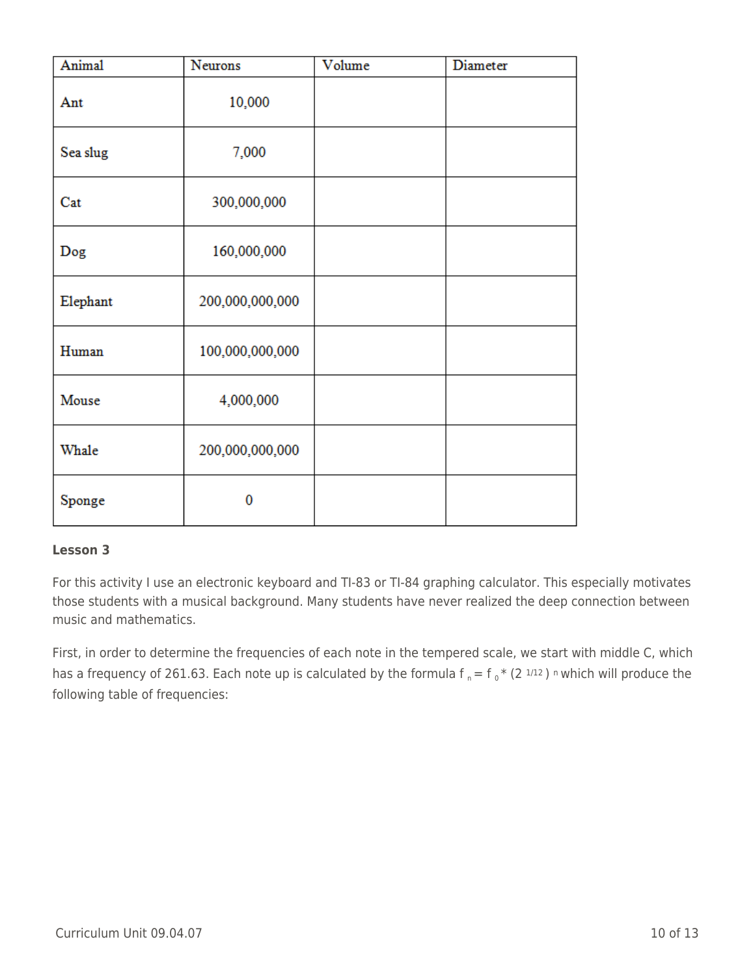| Animal   | Neurons         | Volume | Diameter |
|----------|-----------------|--------|----------|
| Ant      | 10,000          |        |          |
| Sea slug | 7,000           |        |          |
| Cat      | 300,000,000     |        |          |
| Dog      | 160,000,000     |        |          |
| Elephant | 200,000,000,000 |        |          |
| Human    | 100,000,000,000 |        |          |
| Mouse    | 4,000,000       |        |          |
| Whale    | 200,000,000,000 |        |          |
| Sponge   | 0               |        |          |

#### **Lesson 3**

For this activity I use an electronic keyboard and TI-83 or TI-84 graphing calculator. This especially motivates those students with a musical background. Many students have never realized the deep connection between music and mathematics.

First, in order to determine the frequencies of each note in the tempered scale, we start with middle C, which has a frequency of 261.63. Each note up is calculated by the formula  $f_n = f_0 * (2^{1/12})$  n which will produce the following table of frequencies: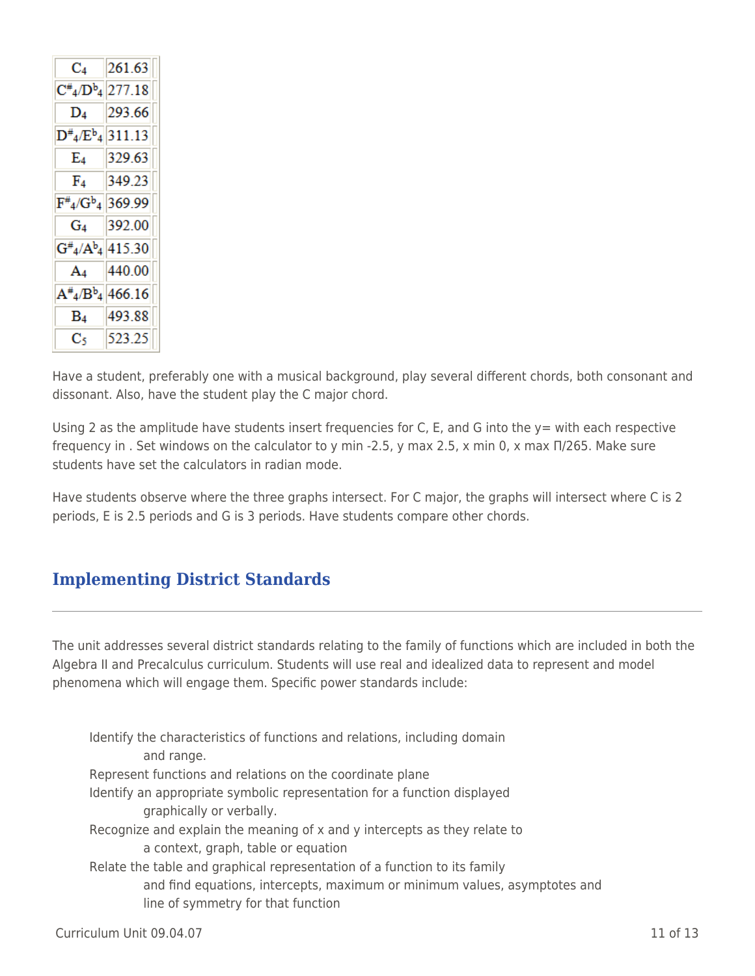| $\mathrm{C}_4$                                  | 261.63 |
|-------------------------------------------------|--------|
| $C_{4}^{\#}$ D <sup>b</sup> <sub>4</sub> 277.18 |        |
| $D_4$                                           | 293.66 |
| $D^{\#}_4/E^b{}_4 311.13$                       |        |
| E4                                              | 329.63 |
| F4                                              | 349.23 |
| $F#_{4}/G^{b}$ <sub>4</sub> 369.99              |        |
| $G_4$                                           | 392.00 |
| $G^{\#}_4/A^b_4$ 415.30                         |        |
| $A_4$                                           | 440.00 |
| $A^{\#_4/Bb_4 466.16$                           |        |
| $B_4$                                           | 493.88 |
| C٢                                              | 523.25 |

Have a student, preferably one with a musical background, play several different chords, both consonant and dissonant. Also, have the student play the C major chord.

Using 2 as the amplitude have students insert frequencies for C, E, and G into the  $y=$  with each respective frequency in . Set windows on the calculator to y min -2.5, y max 2.5, x min 0, x max Π/265. Make sure students have set the calculators in radian mode.

Have students observe where the three graphs intersect. For C major, the graphs will intersect where C is 2 periods, E is 2.5 periods and G is 3 periods. Have students compare other chords.

# **Implementing District Standards**

The unit addresses several district standards relating to the family of functions which are included in both the Algebra II and Precalculus curriculum. Students will use real and idealized data to represent and model phenomena which will engage them. Specific power standards include:

Identify the characteristics of functions and relations, including domain and range. Represent functions and relations on the coordinate plane Identify an appropriate symbolic representation for a function displayed graphically or verbally. Recognize and explain the meaning of x and y intercepts as they relate to a context, graph, table or equation Relate the table and graphical representation of a function to its family and find equations, intercepts, maximum or minimum values, asymptotes and line of symmetry for that function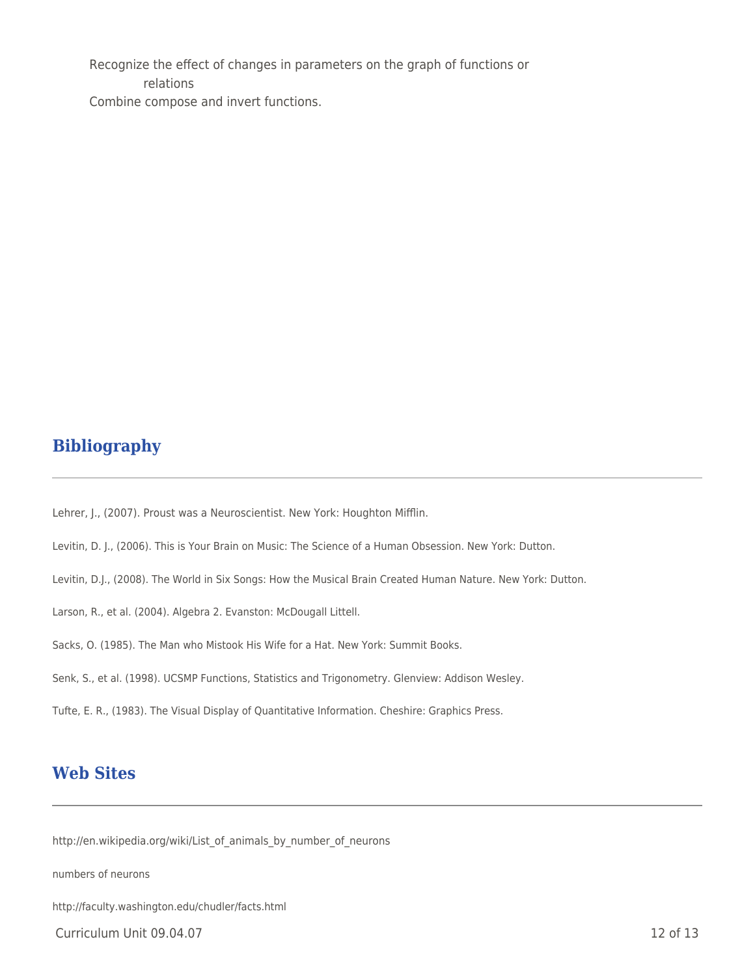Recognize the effect of changes in parameters on the graph of functions or \_\_\_\_ \_\_\_\_ relations Combine compose and invert functions.

# **Bibliography**

Lehrer, J., (2007). Proust was a Neuroscientist. New York: Houghton Mifflin.

Levitin, D. J., (2006). This is Your Brain on Music: The Science of a Human Obsession. New York: Dutton.

- Levitin, D.J., (2008). The World in Six Songs: How the Musical Brain Created Human Nature. New York: Dutton.
- Larson, R., et al. (2004). Algebra 2. Evanston: McDougall Littell.
- Sacks, O. (1985). The Man who Mistook His Wife for a Hat. New York: Summit Books.
- Senk, S., et al. (1998). UCSMP Functions, Statistics and Trigonometry. Glenview: Addison Wesley.
- Tufte, E. R., (1983). The Visual Display of Quantitative Information. Cheshire: Graphics Press.

### **Web Sites**

http://en.wikipedia.org/wiki/List\_of\_animals\_by\_number\_of\_neurons

numbers of neurons

http://faculty.washington.edu/chudler/facts.html

Curriculum Unit 09.04.07 12 of 13